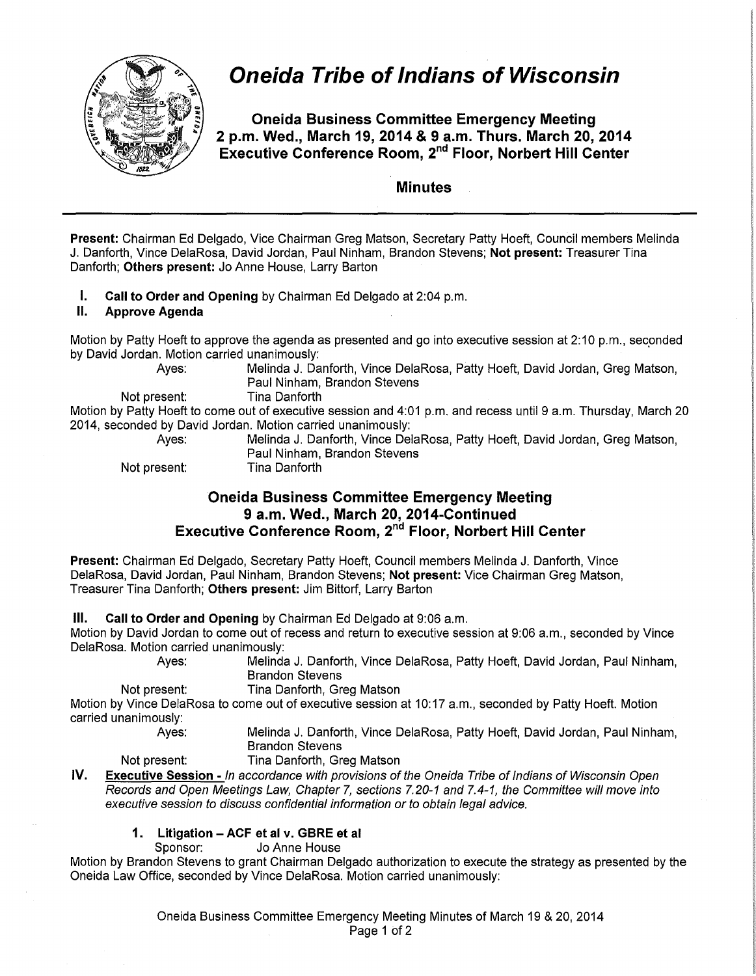

# **Oneida Tribe of Indians of Wisconsin**

**Oneida Business Committee Emergency Meeting 2 p.m. Wed., March 19, 2014 & 9 a.m. Thurs. March 20, 2014 Executive Conference Room,** 2"d **Floor, Norbert Hill Center** 

## **Minutes**

**Present:** Chairman Ed Delgado, Vice Chairman Greg Matson, Secretary Patty Hoeft, Council members Melinda J. Danforth, Vince DelaRosa, David Jordan, Paul Ninham, Brandon Stevens; **Not present:** Treasurer Tina Danforth; Others present: Jo Anne House, Larry Barton

**I.** Call to Order and Opening by Chairman Ed Delgado at 2:04 p.m.

#### **II. Approve Agenda**

Motion by Patty Hoeft to approve the agenda as presented and go into executive session at 2:10 p.m., seconded by David Jordan. Motion carried unanimously:

Not present:

Ayes: Melinda J. Danforth, Vince DelaRosa, Patty Hoeft, David Jordan, Greg Matson, Paul Ninham, Brandon Stevens

Motion by Patty Hoeft to come out of executive session and 4:01 p.m. and recess until 9 a.m. Thursday, March 20 2014, seconded by David Jordan. Motion carried unanimously:

Ayes: Melinda J. Danforth, Vince DelaRosa, Patty Hoeft, David Jordan, Greg Matson, Paul Ninham, Brandon Stevens Not present: Tina Danforth

# **Oneida Business Committee Emergency Meeting 9 a.m. Wed., March 20, 2014-Continued Executive Conference Room, 2"d Floor, Norbert Hill Center**

**Present:** Chairman Ed Delgado, Secretary Patty Hoeft, Council members Melinda J. Danforth, Vince DelaRosa, David Jordan, Paul Ninham, Brandon Stevens; **Not present:** Vice Chairman Greg Matson, Treasurer Tina Danforth; **Others present:** Jim Bittorf, Larry Barton

### **Ill. Call to Order and Opening** by Chairman Ed Delgado at 9:06 a.m.

Motion by David Jordan to come out of recess and return to executive session at 9:06 a.m., seconded by Vince DelaRosa. Motion carried unanimously:

Ayes: Melinda J. Danforth, Vince DelaRosa, Patty Hoeft, David Jordan, Paul Ninham, Brandon Stevens

Not present: Tina Danforth, Greg Matson

Motion by Vince DelaRosa to come out of executive session at 10:17 a.m., seconded by Patty Hoeft. Motion carried unanimously:

Ayes: Melinda J. Danforth, Vince DelaRosa, Patty Hoeft, David Jordan, Paul Ninham, Brandon Stevens

Not present: Tina Danforth, Greg Matson

**IV. Executive Session** - In accordance with provisions of the Oneida Tribe of Indians of Wisconsin Open Records and Open Meetings Law, Chapter 7, sections 7.20-1 and 7.4-1, the Committee will move into executive session to discuss confidential information or to obtain legal advice.

## **1. Litigation- ACF et al v. GBRE et al**

Sponsor: Jo Anne House

Motion by Brandon Stevens to grant Chairman Delgado authorization to execute the strategy as presented by the Oneida Law Office, seconded by Vince DelaRosa. Motion carried unanimously:

> Oneida Business Committee Emergency Meeting Minutes of March 19 & 20, 2014 Page 1 of 2